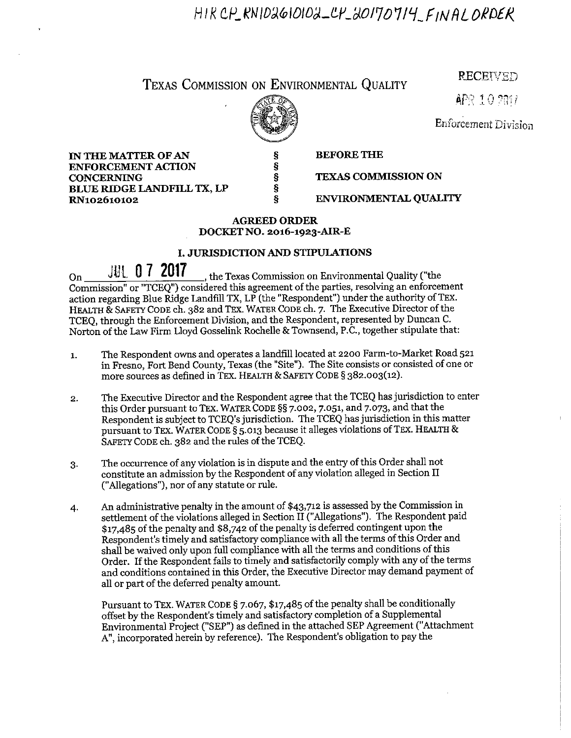## HI k *C.,fJ\_ RN* /D:JlolDI0~\_C.fl\_/J.O!7O *71'-/***\_***f tN 11 LORDER\_*

TEXAS COMMISSION ON ENVIRONMENTAL QUALITY

**RECEIVED** 

 $APR 10.2011$ 

Enforcement Division



§ § § §

**IN THE MATIER OF AN ENFORCEMENT ACTION CONCERNING BLUE RIDGE LANDFILL TX, LP RN102610102** 

**BEFORE THE** 

**TEXAS COMMISSION ON** 

**ENVIRONMENTAL QUALITY** 

#### **AGREED ORDER DOCKET NO. 2016-1923-AIR-E**

#### **I. JURISDICTION AND STIPULATIONS**

On JUL **O 7 2017** the Texas Commission on Environmental Quality ("the Commission" or "TCEQ") considered this agreement of the parties, resolving an enforcement action regarding Blue Ridge Landfill TX,  $LP$  (the "Respondent") under the authority of TEX. HEALTH &SAFETY CODE ch. 382 and TEx. WATER CODE ch. 7. The Executive Director ofthe TCEQ, through the Enforcement Division, and the Respondent, represented by Duncan C. Norton of the Law Firm Lloyd Gosselink Rochelle & Townsend, P.C., together stipulate that:

- 1. The Respondent owns and operates a landfill located at 2200 Farm-to-Market Road 521 in Fresno, Fort Bend County, Texas (the "Site"). The Site consists or consisted of one or more sources as defined in TEX. HEALTH & SAFETY CODE § 382.003(12).
- 2. The Executive Director and the Respondent agree that the TCEQ has jurisdiction to enter this Order pursuant to TEX. WATER CODE§§ 7.002, 7.051, and 7,073, and that the Respondent is subject to TCEQ's jurisdiction. The TCEQ has jurisdiction in this matter pursuant to TEX. WATER CODE § 5.013 because it alleges violations of TEX. HEALTH & SAFETY CODE ch. 382 and the rules of the TCEQ.
- 3. The occurrence of any violation is in dispute and the entry of this Order shall not constitute an admission by the Respondent of any violation alleged in Section II ("Allegations"), nor of any statute or rule.
- 4. An administrative penalty in the amount of \$43,712 is assessed by the Commission in settlement of the violations alleged in Section II ("Allegations"). The Respondent paid \$17,485 of the penalty and \$8,742 of the penalty is deferred contingent upon the Respondent's timely and satisfactory compliance with all the terms of this Order and shall be waived only upon full compliance with all the terms and conditions of this Order. If the Respondent fails to timely and satisfactorily comply with any ofthe terms and conditions contained in this Order, the Executive Director may demand payment of all or part of the deferred penalty amount.

Pursuant to TEX. WATER CODE § 7.067, \$17,485 of the penalty shall be conditionally offset by the Respondent's timely and satisfactory completion of a Supplemental Environmental Project ("SEP") as defined in the attached SEP Agreement ("Attachment A", incorporated herein by reference). The Respondent's obligation to pay the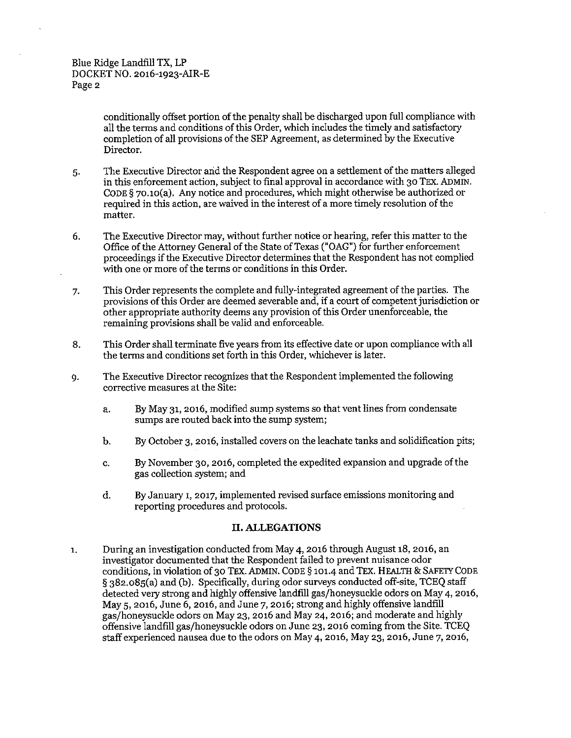conditionally offset portion of the penalty shall be discharged upon full compliance with all the terms and conditions of this Order, which includes the timely and satisfactory completion of all provisions ofthe SEP Agreement, as determined by the Executive Director.

- 5. The Executive Director arid the Respondent agree on a settlement of the matters alleged in this enforcement action, subject to final approval in accordance with 30 TEX. ADMIN. CODE§ 70.10(a). Any notice and procedures, which might otherwise be authorized or required in this action, are waived in the interest of a more timely resolution of the matter.
- 6. The Executive Director may, without further notice or hearing, refer this matter to the Office of the Attorney General of the State of Texas ("OAG") for further enforcement proceedings ifthe Executive Director determines that the Respondent has not complied with one or more of the terms or conditions in this Order.
- 7. This Order represents the complete and fully-integrated agreement of the parties. The provisions ofthis Order are deemed severable and, if a court of competent jurisdiction or other appropriate authority deems any provision of this Order unenforceable, the remaining provisions shall be valid and enforceable.
- 8. This Order shall terminate five years from its effective date or upon compliance with all the terms and conditions set forth in this Order, whichever is later.
- 9. The Executive Director recognizes that the Respondent implemented the following corrective measures at the Site:
	- a. By May 31, 2016, modified sump systems so that vent lines from condensate sumps are routed back into the sump system;
	- b. By October 3, 2016, installed covers on the leachate tanks and solidification pits;
	- c. By November 30, 2016, completed the expedited expansion and upgrade of the gas collection system; and
	- d. By January 1, 2017, implemented revised surface emissions monitoring and reporting procedures and protocols.

#### **II. ALLEGATIONS**

1. During an investigation conducted from May 4, 2016 through August 18, 2016, an investigator documented that the Respondent failed to prevent nuisance odor conditions, in violation of 30 TEX. ADMIN. CODE § 101.4 and TEX. HEALTH & SAFETY CODE § 382.085(a) and (b). Specifically, during odor surveys conducted off-site, TCEQ staff detected very strong and highly offensive landfill gas/honeysuckle odors on May 4, 2016, May 5, 2016, June 6, 2016, and June 7, 2016; strong and highly offensive landfill gas/honeysuckle odors on May 23, 2016 and May 24, 2016; and moderate and highly offensive landfill gas/honeysuckle odors on June 23, 2016 coming from the Site. TCEQ staff experienced nausea due to the odors on May 4, 2016, May 23, 2016, June 7, 2016,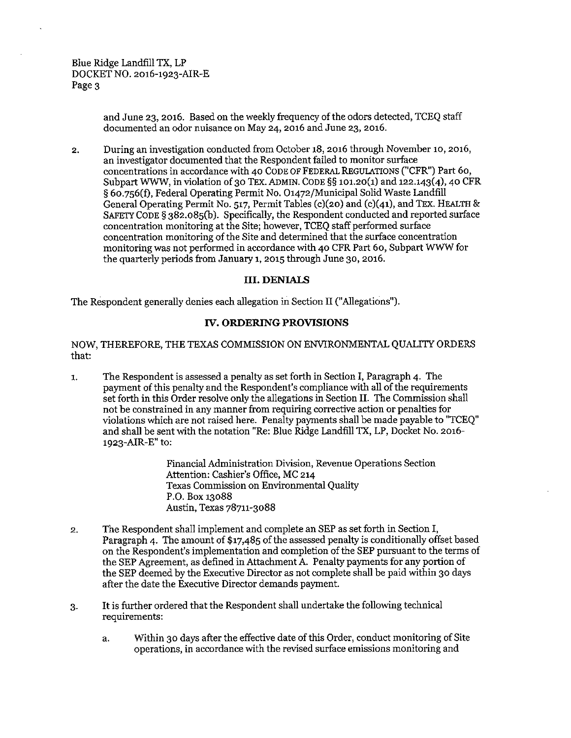> and June 23, 2016. Based on the weekly frequency of the odors detected, TCEQ staff documented an odor nuisance on May 24, 2016 and June 23, 2016.

2. During an investigation conducted from October 18, 2016 through November 10, 2016, an investigator documented that the Respondent failed to monitor surface concentrations in accordance with 40 CODE OF FEDERAL REGULATIONS ("CFR") Part 60, Subpart WWW, in violation of 30 TEX. ADMIN. CODE  $\S$ § 101.20(1) and 122.143(4), 40 CFR § 60.756(f), Federal Operating Permit No. O1472/Municipal Solid Waste Landfill General Operating Permit No. 517, Permit Tables (c)(20) and (c)(41), and TEX. HEALTH & SAFETY CODE§ 382.085(b). Specifically, the Respondent conducted and reported surface concentration monitoring at the Site; however, TCEQ staff performed surface concentration monitoring of the Site and determined that the surface concentration monitoring was not performed in accordance with 40 CFR Part 60, Subpart WWW for the quarterly periods from January 1, 2015 through June 30, 2016.

#### III. DENIALS

The Respondent generally denies each allegation in Section II (''Allegations").

#### **IV. ORDERING PROVISIONS**

NOW, THEREFORE, THE TEXAS COMMISSION ON ENVIRONMENTAL QUALITY ORDERS that:

1. The Respondent is assessed a penalty as set forth in Section I, Paragraph 4. The payment of this penalty and the Respondent's compliance with all ofthe requirements set forth in this Order resolve only the allegations in Section II. The Commission shall not be constrained in any manner from requiring corrective action or penalties for violations which are not raised here. Penalty payments shall be made payable to "TCEQ" and shall be sent with the notation "Re: Blue Ridge Landfill TX, LP, Docket No. 2016- 1923-AIR-E" to:

> Financial Administration Division, Revenue Operations Section Attention: Cashier's Office, MC 214 Texas Commission on Environmental Quality P.O. Box 13088 Austin, Texas 78711-3088

- 2. The Respondent shall implement and complete an SEP as set forth in Section I, Paragraph 4. The amount of \$17,485 of the assessed penalty is conditionally offset based on the Respondent's implementation and completion of the SEP pursuant to the terms of the SEP Agreement, as defined in Attachment A. Penalty payments for any portion of the SEP deemed by the Executive Director as not complete shall be paid within 30 days after the date the Executive Director demands payment.
- 3. It is further ordered that the Respondent shall undertake the following technical requirements:
	- a. Within 30 days after the effective date ofthis Order, conduct monitoring of Site operations, in accordance with the revised surface emissions monitoring and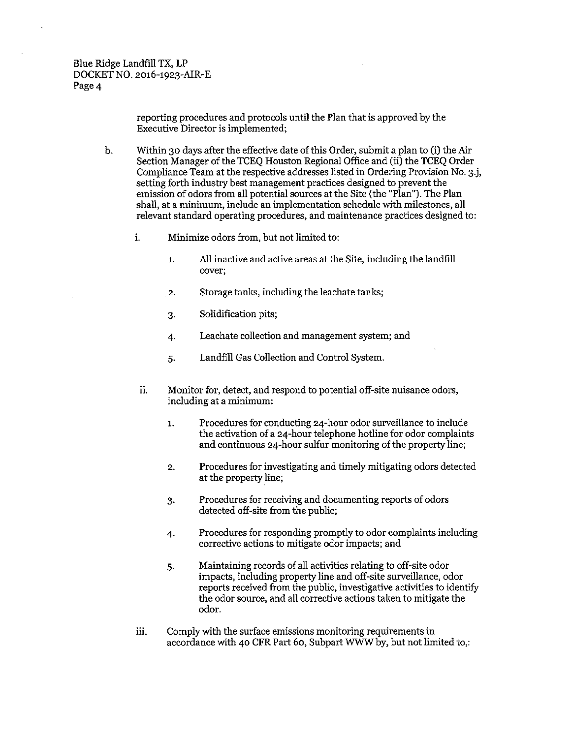> reporting procedures and protocols until the Plan that is approved by the Executive Director is implemented;

b. Within 30 days after the effective date of this Order, submit a plan to (i) the Air Section Manager of the TCEQ Houston Regional Office and (ii) the TCEQ Order Compliance Team at the respective addresses listed in Ordering Provision No. 3.j, setting forth industry best management practices designed to prevent the emission of odors from all potential sources at the Site (the "Plan"). The Plan shall, at a minimum, include an implementation schedule with milestones, all relevant standard operating procedures, and maintenance practices designed to:

- i. Minimize odors from, but not limited to:
	- 1. All inactive and active areas at the Site, including the landfill **cover;**
	- 2. Storage tanks, including the leachate tanks;
	- 3. Solidification pits;
	- 4. Leachate collection and management system; and
	- 5. Landfill Gas Collection and Control System.
- ii. Monitor for, detect, and respond to potential off-site nuisance odors, including at a minimum:
	- 1. Procedures for conducting 24-hour odor surveillance to include the activation of a 24-hour telephone hotline for odor complaints and continuous 24-hour sulfur monitoring of the property line;
	- 2. Procedures for investigating and timely mitigating odors detected at the property line;
	- 3. Procedures for receiving and documenting reports of odors detected off-site from the public;
	- 4. Procedures for responding promptly to odor complaints including corrective actions to mitigate odor impacts; and
	- 5. Maintaining records of all activities relating to off-site odor impacts, including property line and off-site surveillance, odor reports received from the public, investigative activities to identify the odor source, and all corrective actions taken to mitigate the odor.
- iii. Comply with the surface emissions monitoring requirements in accordance with 40 CFR Part 60, Subpart WWW by, but not limited to,: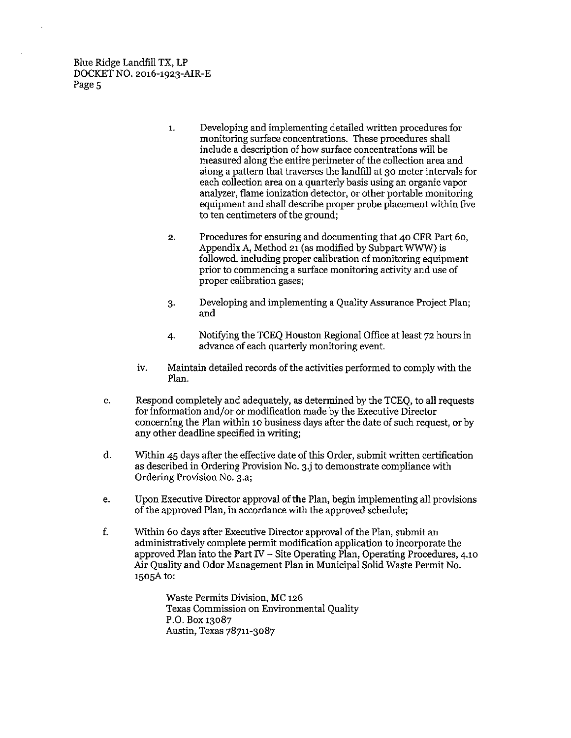- 1. Developing and implementing detailed written procedures for monitoring surface concentrations. These procedures shall include a description of how surface concentrations will be measured along the entire perimeter of the collection area and along a pattern that traverses the landfill at 30 meter intervals for each collection area on a quarterly basis using an organic vapor analyzer, flame ionization detector, or other portable monitoring equipment and shall describe proper probe placement within five to ten centimeters of the ground;
- 2. Procedures for ensuring and documenting that 40 CFR Part 60, Appendix A, Method 21 (as modified by Subpart WWW) is followed, including proper calibration of monitoring equipment prior to commencing a surface monitoring activity and use of proper calibration gases;
- 3. Developing and implementing a Quality Assurance Project Plan; and
- 4. Notifying the TCEQ Houston Regional Office at least 72 hours in advance of each quarterly monitoring event.
- iv. Maintain detailed records of the activities performed to comply with the Plan.
- c. Respond completely and adequately, as determined by the TCEQ, to all requests for information and/or or modification made by the Executive Director concerning the Plan within 10 business days after the date of such request, or by any other deadline specified in writing;
- d. Within 45 days after the effective date ofthis Order, submit written certification as described in Ordering Provision No. 3.j to demonstrate compliance with Ordering Provision No. 3.a;
- e. Upon Executive Director approval ofthe Plan, begin implementing all provisions of the approved Plan, in accordance with the approved schedule;
- f. Within 60 days after Executive Director approval ofthe Plan, submit an administratively complete permit modification application to incorporate the approved Plan into the Part IV - Site Operating Plan, Operating Procedures, 4.10 Air Quality and Odor Management Plan in Municipal Solid Waste Permit No. 1505A to:

Waste Permits Division, MC 126 Texas Commission on Environmental Quality P.O. Box 13087 Austin, Texas 78711-3087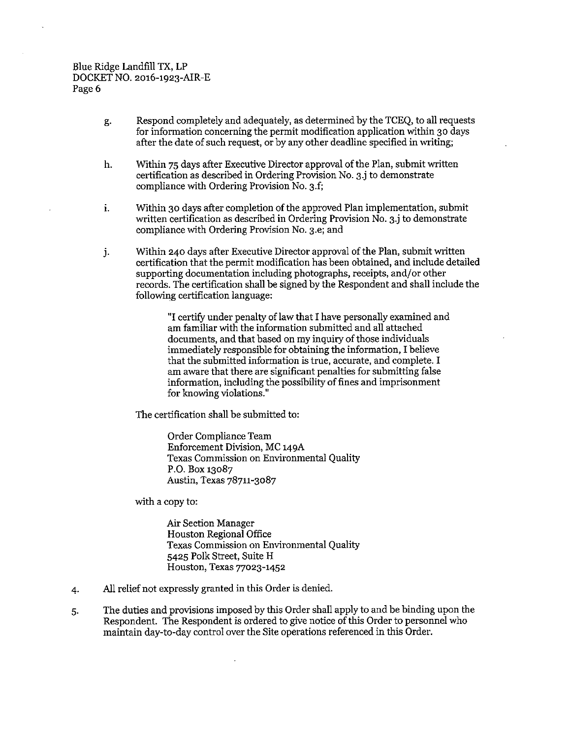- g. Respond completely and adequately, as determined by the TCEQ, to all requests for information concerning the permit modification application within 30 days after the date of such request, or by any other deadline specified in writing;
- h. Within 75 days after Executive Director approval of the Plan, submit written certification as described in Ordering Provision No. 3.j to demonstrate compliance with Ordering Provision No. 3.f;
- 1. Within 30 days after completion of the approved Plan implementation, submit written certification as described in Ordering Provision No. 3.j to demonstrate compliance with Ordering Provision No. 3.e; and
- j. Within 240 days after Executive Director approval of the Plan, submit written certification that the permit modification has been obtained, and include detailed supporting documentation including photographs, receipts, and/or other records. The certification shall be signed by the Respondent and shall include the following certification language:

"I certify under penalty of law that I have personally examined and am familiar with the information submitted and all attached documents, and that based on my inquiry of those individuals immediately responsible for obtaining the information, I believe that the submitted information is true, accurate, and complete. I am aware that there are significant penalties for submitting false information, including the possibility of fines and imprisonment for knowing violations."

The certification shall be submitted to:

Order Compliance Team Enforcement Division, MC 149A Texas Commission on Environmental Quality P.O. Box 13087 Austin, Texas 78711-3087

with a copy to:

Air Section Manager Houston Regional Office Texas Commission on Environmental Quality 5425 Polk Street, Suite H Houston, Texas 77023-1452

- 4. All relief not expressly granted in this Order is denied.
- 5. The duties and provisions imposed by this Order shall apply to and be binding upon the Respondent. The Respondent is ordered to give notice of this Order to personnel who maintain day-to-day control over the Site operations referenced in this Order.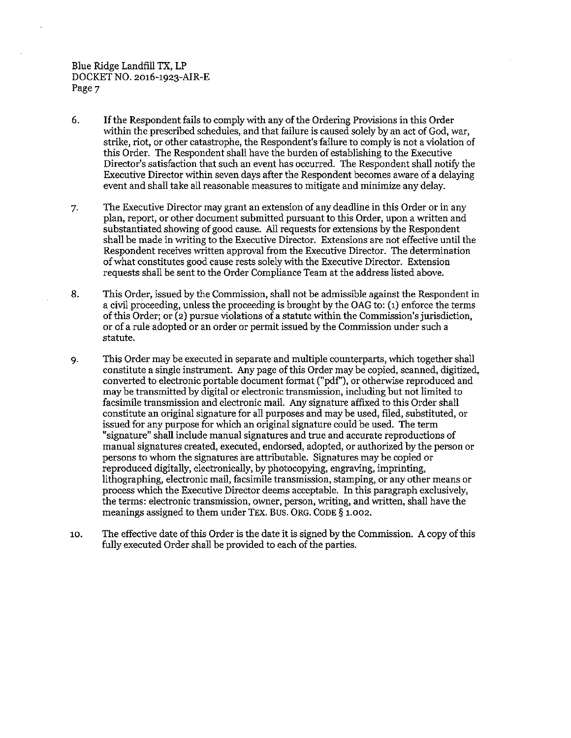- 6. Ifthe Respondent fails to comply with any ofthe Ordering Provisions in this Order within the prescribed schedules, and that failure is caused solely by an act of God, war, strike, riot, or other catastrophe, the Respondent's failure to comply is not a violation of this Order. The Respondent shall have the burden of establishing to the Executive Director's satisfaction that such an event has occurred. The Respondent shall notify the Executive Director within seven days after the Respondent becomes aware of a delaying event and shall take all reasonable measures to mitigate and minimize any delay.
- 7. The Executive Director may grant an extension of any deadline in this Order or in any plan, report, or other document submitted pursuant to this Order, upon a written and substantiated showing of good cause. All requests for extensions by the Respondent shall be made in writing to the Executive Director. Extensions are not effective until the Respondent receives written approval from the Executive Director. The determination ofwhat constitutes good cause rests solely with the Executive Director. Extension requests shall be sent to the Order Compliance Team at the address listed above.
- 8. This Order, issued by the Commission, shall not be admissible against the Respondent in a civil proceeding, unless the proceeding is brought by the OAG to: (1) enforce the terms ofthis Order; or (2) pursue violations of a statute within the Commission's jurisdiction, or of a rule adopted or an order or permit issued by the Commission under such a statute.
- 9. This Order may be executed in separate and multiple counterparts, which together shall constitute a single instrument. Any page of this Order may be copied, scanned, digitized, converted to electronic portable document format ("pdf'), or otherwise reproduced and may be transmitted by digital or electronic transmission, including but not limited to facsimile transmission and electronic mail. Any signature affixed to this Order shall constitute an original signature for all purposes and may be used, filed, substituted, or issued for any purpose for which an original signature could be used. The term "signature" shall include manual signatures and true and accurate reproductions of manual signatures created, executed, endorsed, adopted, or authorized by the person or persons to whom the signatures are attributable. Signatures may be copied or reproduced digitally, electronically, by photocopying, engraving, imprinting, lithographing, electronic mail, facsimile transmission, stamping, or any other means or process which the Executive Director deems acceptable. In this paragraph exclusively, the terms: electronic transmission, owner, person, writing, and written, shall have the meanings assigned to them under TEX. Bus. ORG. CODE§ 1.002.
- 10. The effective date of this Order is the date it is signed by the Commission. A copy of this fully executed Order shall be provided to each of the parties.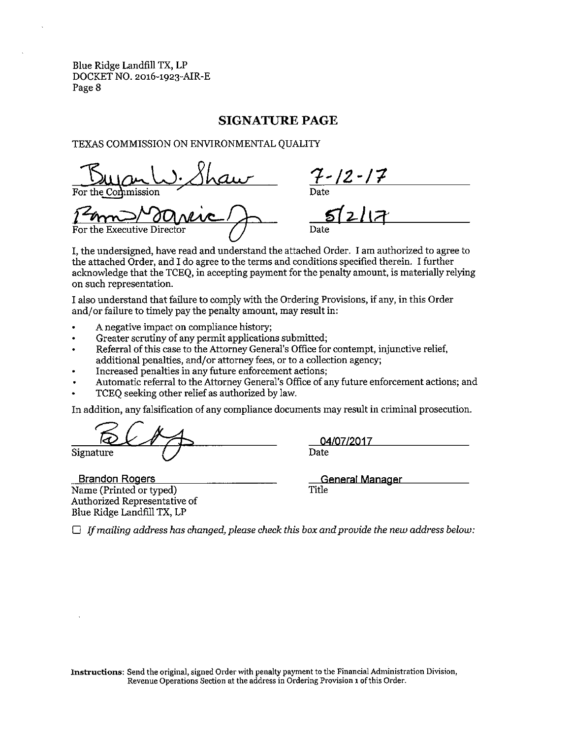### **SIGNATURE PAGE**

TEXAS COMMISSION ON ENVIRONMENTAL QUALITY

Burgul Bhau 7.

For the Executive Director

I, the undersigned, have read and understand the attached Order. I am authorized to agree to the attached Order, and I do agree to the terms and conditions specified therein. I further acknowledge that the TCEQ, in accepting payment for the penalty amount, is materially relying on such representation.

I also understand that failure to comply with the Ordering Provisions, if any, in this Order and/or failure to timely pay the penalty amount, may result in:

- A negative impact on compliance history;
- Greater scrutiny of any permit applications submitted;
- Referral of this case to the Attorney General's Office for contempt, injunctive relief, additional penalties, and/or attorney fees, or to a collection agency;
- Increased penalties in any future enforcement actions;
- Automatic referral to the Attorney General's Office of any future enforcement actions; and
- TCEQ seeking other relief as authorized by law.

In addition, any falsification of any compliance documents may result in criminal prosecution.<br>  $\overbrace{\text{Sigma}}$   $\overbrace{\text{Sigma}}$   $\overbrace{\text{Date}}$ ~ **.c**  $47-$ 

**Brandon Rogers General Manager Constant Oriental Manager**<br> **General Manager Constant Oriental According Constant Oriental Manager** Name (Printed or typed) Authorized Representative of Blue Ridge Landfill TX, LP

□ *Ifmailing address has changed, please check this box and provide the new address below:*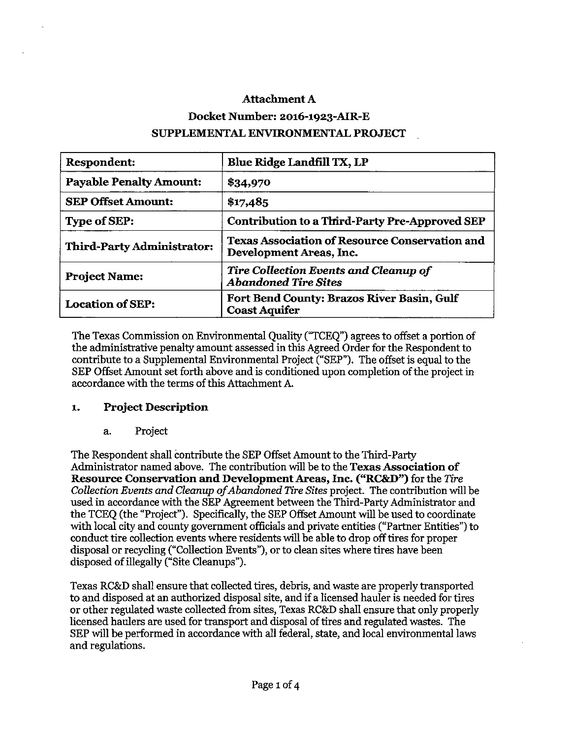## **Attachment A**

## **Docket Number: 2016-1923-AIR-E SUPPLEMENTAL ENVIRONMENTAL PROJECT**

| Respondent:                    | <b>Blue Ridge Landfill TX, LP</b>                                                |
|--------------------------------|----------------------------------------------------------------------------------|
| <b>Payable Penalty Amount:</b> | \$34,970                                                                         |
| <b>SEP Offset Amount:</b>      | \$17,485                                                                         |
| Type of SEP:                   | <b>Contribution to a Third-Party Pre-Approved SEP</b>                            |
| Third-Party Administrator:     | <b>Texas Association of Resource Conservation and</b><br>Development Areas, Inc. |
| <b>Project Name:</b>           | Tire Collection Events and Cleanup of<br><b>Abandoned Tire Sites</b>             |
| <b>Location of SEP:</b>        | Fort Bend County: Brazos River Basin, Gulf<br><b>Coast Aquifer</b>               |

The Texas Commission on Environmental Quality ("TCEQ") agrees to offset a portion of the administrative penalty amount assessed in this Agreed Order for the Respondent to contribute to a Supplemental Environmental Project ("SEP"). The offset is equal to the SEP Offset Amount set forth above and is conditioned upon completion of the project in accordance with the terms of this Attachment A.

## **1. Project Description**

a. Project

The Respondent shall contribute the SEP Offset Amount to the Third-Party Administrator named above. The contribution will be to the **Texas Association of Resource Conservation and Development Areas, Inc. ("RC&D")** for the *Tire Collection Events and Cleanup ofAbandoned Tire Sites* project. The contribution will be used in accordance with the SEP Agreement between the Third-Party Administrator and the TCEQ (the "Project"). Specifically, the SEP Offset Amount will be used to coordinate with local city and county government officials and private entities ("Partner Entities") to conduct tire collection events where residents will be able to drop off tires for proper disposal or recycling ("Collection Events"), or to clean sites where tires have been disposed of illegally ("Site Cleanups").

Texas RC&D shall ensure that collected tires, debris, and waste are properly transported to and disposed at an authorized disposal site, and if a licensed hauler is needed for tires or other regulated waste collected from sites, Texas RC&D shall ensure that only properly licensed haulers are used for transport and disposal of tires and regulated wastes. The SEP will be performed in accordance with all federal, state, and local environmental laws and regulations.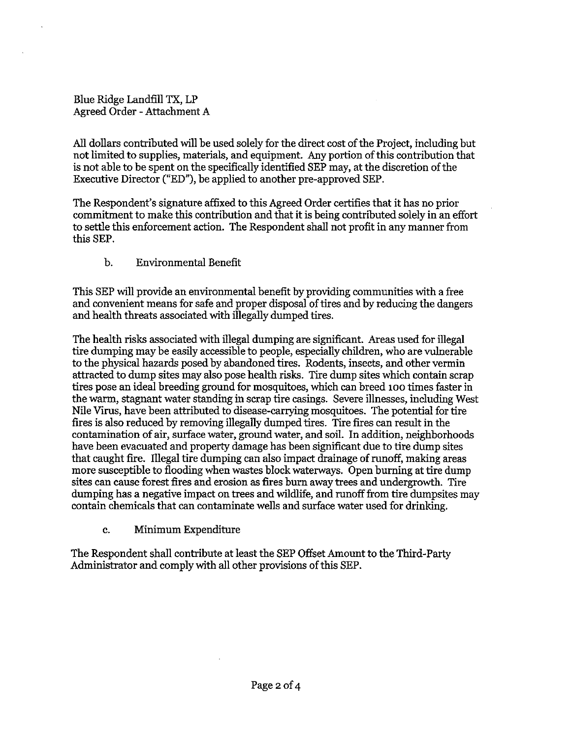Blue Ridge Landfill TX, LP Agreed Order - Attachment A

All dollars contributed will be used solely for the direct cost ofthe Project, including but not limited to supplies, materials, and equipment. Any portion ofthis contribution that is not able to be spent on the specifically identified SEP may, at the discretion of the Executive Director ("ED"), be applied to another pre-approved SEP.

The Respondent's signature affixed to this Agreed Order certifies that it has no prior commitment to make this contribution and that it is being contributed solely in an effort to settle this enforcement action. The Respondent shall not profit in any manner from this SEP.

b. Environmental Benefit

This SEP will provide an environmental benefit by providing communities with a free and convenient means for safe and proper disposal of tires and by reducing the dangers and health threats associated with illegally dumped tires.

The health risks associated with illegal dumping are significant. Areas used for illegal tire dumping may be easily accessible to people, especially children, who are vulnerable to the physical hazards posed by abandoned tires. Rodents, insects, and other vermin attracted to dump sites may also pose health risks. Tire dump sites which contain scrap tires pose an ideal breeding ground for mosquitoes, which can breed 100 times faster in the warm, stagnant water standing in scrap tire casings. Severe illnesses, including West Nile Virus, have been attributed to disease-carrying mosquitoes. The potential for tire fires is also reduced by removing illegally dumped tires. Tire fires can result in the contamination of air, surface water, ground water, and soil. In addition, neighborhoods have been evacuated and property damage has been significant due to tire dump sites that caught fire. Illegal tire dumping can also impact drainage of runoff, making areas more susceptible to flooding when wastes block waterways. Open burning at tire dump sites can cause forest fires and erosion as fires burn away trees and undergrowth. Tire dumping has a negative impact on trees and wildlife, and runoff from tire dumpsites may contain chemicals that can contaminate wells and surface water used for drinking.

c. Minimum Expenditure

The Respondent shall contribute at least the SEP Offset Amount to the Third-Party Administrator and comply with all other provisions of this SEP.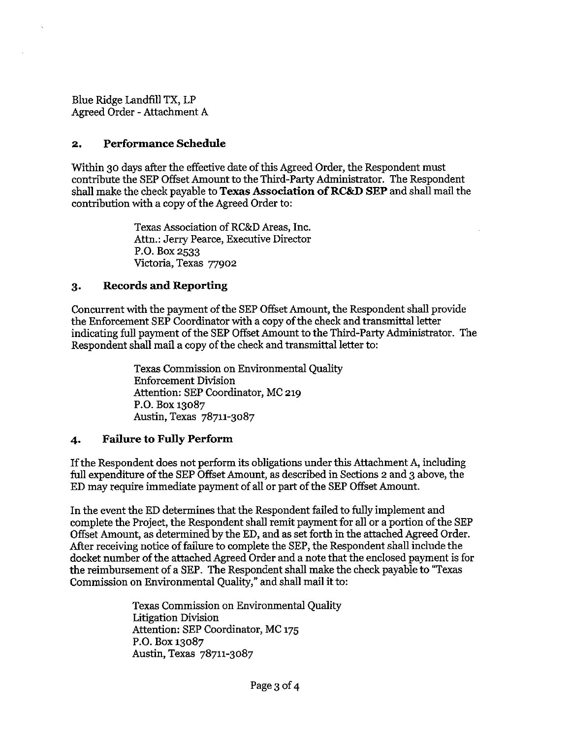Blue Ridge Landfill TX, LP Agreed Order - Attachment A

## **2. Performance Schedule**

Within 30 days after the effective date of this Agreed Order, the Respondent must contribute the SEP Offset Amount to the Third-Party Administrator. The Respondent shall make the check payable to **Texas Association ofRC&D SEP** and shall mail the contribution with a copy of the Agreed Order to:

> Texas Association of RC&D Areas, Inc. Attn.: Jerry Pearce, Executive Director P.O. Box 2533 Victoria, Texas 77902

## **3. Records and Reporting**

Concurrent with the payment of the SEP Offset Amount, the Respondent shall provide the Enforcement SEP Coordinator with a copy of the check and transmittal letter indicating full payment of the SEP Offset Amount to the Third-Party Administrator. The Respondent shall mail a copy of the check and transmittal letter to:

> Texas Commission on Environmental Quality Enforcement Division Attention: SEP Coordinator, MC 219 P.O. Box 13087 Austin, Texas 78711-3087

## **4. Failure to Fully Perform**

Ifthe Respondent does not perform its obligations under this Attachment A, including full expenditure of the SEP Offset Amount, as described in Sections 2 and 3 above, the ED may require immediate payment of all or part of the SEP Offset Amount.

In the event the ED determines that the Respondent failed to fully implement and complete the Project, the Respondent shall remit payment for all or a portion of the SEP Offset Amount, as determined by the ED, and as set forth in the attached Agreed Order. After receiving notice of failure to complete the SEP, the Respondent shall include the docket number of the attached Agreed Order and a note that the enclosed payment is for the reimbursement of a SEP. The Respondent shall make the check payable to "Texas Commission on Environmental Quality," and shall mail it to:

> Texas Commission on Environmental Quality Litigation Division Attention: SEP Coordinator, MC 175 P.O. Box 13087 Austin, Texas 78711-3087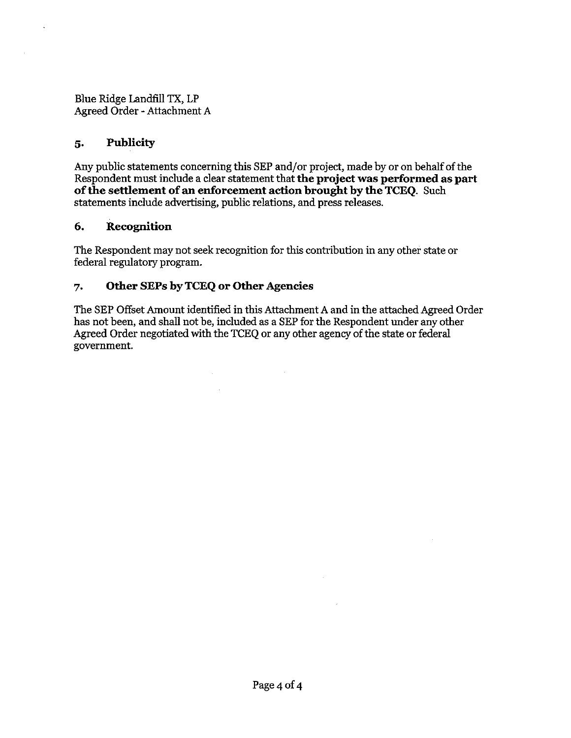Blue Ridge Landfill TX, LP Agreed Order - Attachment A

### **5. Publicity**

 $\bar{\Delta}$ 

Any public statements concerning this SEP and/or project, made by or on behalf of the Respondent must include a clear statement that **the project was performed as part ofthe settlement ofan enforcement action brought by the TCEQ.** Such statements include advertising, public relations, and press releases.

### **6. Recognition**

The Respondent may not seek recognition for this contribution in any other state or federal regulatory program.

## 7. **Other SEPs byTCEQ or Other Agencies**

The SEP Offset Amount identified in this Attachment A and in the attached Agreed Order has not been, and shall not be, included as a SEP for the Respondent under any other Agreed Order negotiated with the TCEQ or any other agency of the state or federal government.

 $\sim 10^{11}$  km  $^{-1}$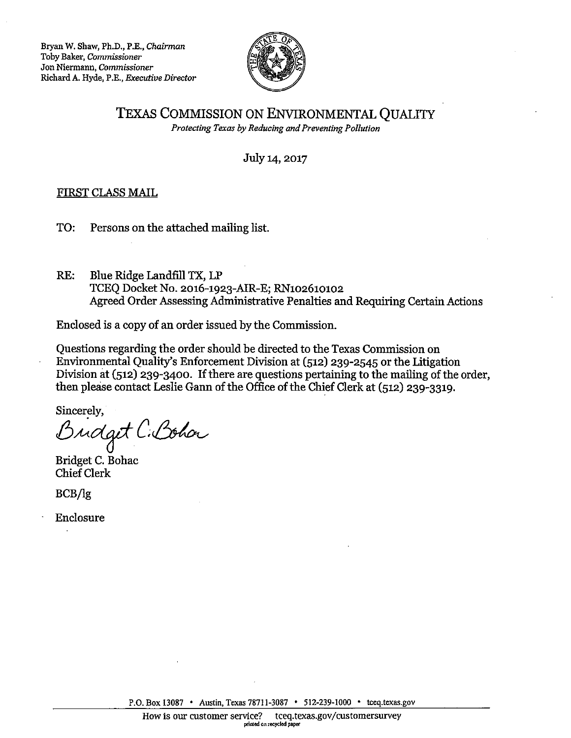Bryan W. Shaw, Ph.D., P.E., *Chairman*  Toby Baker, *Commissioner*  **Jon Niermann, Commissioner**  Richard A Hyde, P .E., *Executive Director* 



# TEXAS COMMISSION ON ENVIRONMENTAL QUALITY

*Protecting Texas by Reducing and Preventing Pollution* 

July 14, 2017

## FIRST CLASS MAIL

- TO: Persons on the attached mailing list.
- RE: Blue Ridge Landfill TX, LP TCEQ Docket No. 2016-1923-AIR-E; RN102610102 Agreed Order Assessing Administrative Penalties and Requiring Certain Actions

Enclosed is a copy of an order issued by the Commission.

Questions regarding the order should be directed to the Texas Commission on Environmental Quality's Enforcement Division at (512) 239-2545 or the Litigation Division at  $(512)$  239-3400. If there are questions pertaining to the mailing of the order, then please contact Leslie Gann of the Office of the Chief Clerk at  $(512)$  239-3319.

Sincerely,<br>*Budget C.Bohor* 

Bridget C. Bohac Chief Clerk

BCB/lg

Enclosure

P.O. Box 13087 • Austin, Texas 78711-3087 • 512-239-1000 • [tceq.texas.gov](https://tceq.texas.gov)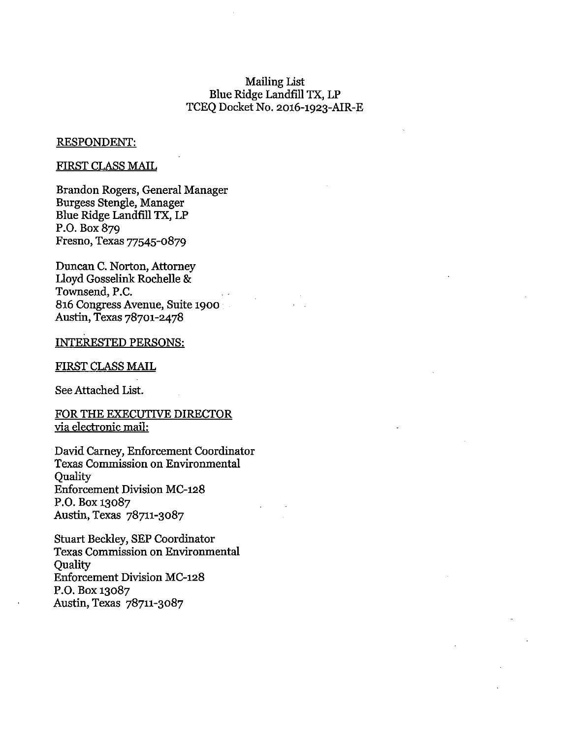### Mailing List Blue Ridge Landfill TX, LP TCEQ Docket No. 2016-1923-AIR-E

#### RESPONDENT:

#### FIRST CLASS MAIL

Brandon Rogers, General Manager Burgess Stengle, Manager Blue Ridge Landfill TX, LP P.O. Box 879 Fresno, Texas 77545-0879

Duncan C. Norton, Attorney Lloyd Gosselink Rochelle & Townsend, P.C. 816 Congress Avenue, Suite 1900 Austin, Texas 78701-2478

## INTERESTED PERSONS:

#### FIRST CLASS MAIL

See Attached List.

FOR THE EXECUTIVE DIRECTOR via electronic mail:

David Carney, Enforcement Coordinator Texas Commission on Environmental **Quality** Enforcement Division MC-128 P.O. Box 13087 Austin, Texas 78711-3087

Stuart Beckley, SEP Coordinator Texas Commission on Environmental Quality Enforcement Division MC-128 P.O. Box 13087 Austin, Texas 78711-3087